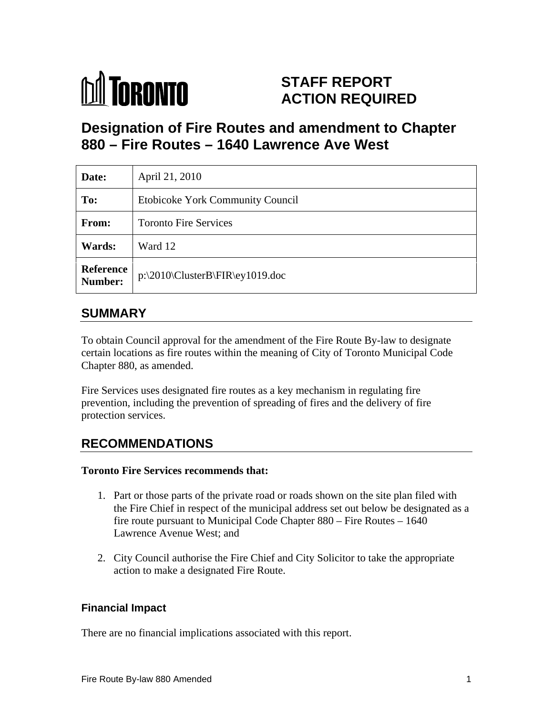

# **STAFF REPORT ACTION REQUIRED**

# **Designation of Fire Routes and amendment to Chapter 880 – Fire Routes – 1640 Lawrence Ave West**

| Date:         | April 21, 2010                                 |  |
|---------------|------------------------------------------------|--|
| To:           | Etobicoke York Community Council               |  |
| From:         | <b>Toronto Fire Services</b>                   |  |
| <b>Wards:</b> | Ward 12                                        |  |
|               | Reference<br>  p:\2010\ClusterB\FIR\ey1019.doc |  |

### **SUMMARY**

To obtain Council approval for the amendment of the Fire Route By-law to designate certain locations as fire routes within the meaning of City of Toronto Municipal Code Chapter 880, as amended.

Fire Services uses designated fire routes as a key mechanism in regulating fire prevention, including the prevention of spreading of fires and the delivery of fire protection services.

## **RECOMMENDATIONS**

#### **Toronto Fire Services recommends that:**

- 1. Part or those parts of the private road or roads shown on the site plan filed with the Fire Chief in respect of the municipal address set out below be designated as a fire route pursuant to Municipal Code Chapter 880 – Fire Routes – 1640 Lawrence Avenue West; and
- 2. City Council authorise the Fire Chief and City Solicitor to take the appropriate action to make a designated Fire Route.

#### **Financial Impact**

There are no financial implications associated with this report.